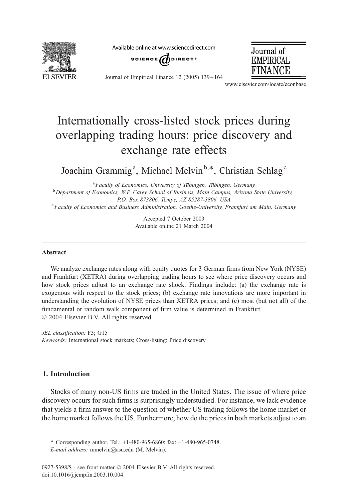

Available online at www.sciencedirect.com





Journal of Empirical Finance 12 (2005) 139 – 164

www.elsevier.com/locate/econbase

## Internationally cross-listed stock prices during overlapping trading hours: price discovery and exchange rate effects

Joachim Grammig<sup>a</sup>, Michael Melvin<sup>b,\*</sup>, Christian Schlag<sup>c</sup>

<sup>a</sup> Faculty of Economics, University of Tübingen, Tübingen, Germany  $^{\rm b}$  Department of Economics, W.P. Carey School of Business, Main Campus, Arizona State University, P.O. Box 873806, Tempe, AZ 85287-3806, USA Faculty of Economics and Business Administration, Goethe-University, Frankfurt am Main, Germany

> Accepted 7 October 2003 Available online 21 March 2004

## Abstract

We analyze exchange rates along with equity quotes for 3 German firms from New York (NYSE) and Frankfurt (XETRA) during overlapping trading hours to see where price discovery occurs and how stock prices adjust to an exchange rate shock. Findings include: (a) the exchange rate is exogenous with respect to the stock prices; (b) exchange rate innovations are more important in understanding the evolution of NYSE prices than XETRA prices; and (c) most (but not all) of the fundamental or random walk component of firm value is determined in Frankfurt.  $\odot$  2004 Elsevier B.V. All rights reserved.

JEL classification: F3; G15 Keywords: International stock markets; Cross-listing; Price discovery

## 1. Introduction

Stocks of many non-US firms are traded in the United States. The issue of where price discovery occurs for such firms is surprisingly understudied. For instance, we lack evidence that yields a firm answer to the question of whether US trading follows the home market or the home market follows the US. Furthermore, how do the prices in both markets adjust to an

<sup>\*</sup> Corresponding author. Tel.: +1-480-965-6860; fax: +1-480-965-0748.

E-mail address: mmelvin@asu.edu (M. Melvin).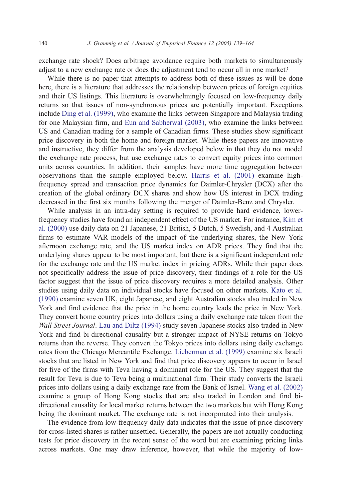exchange rate shock? Does arbitrage avoidance require both markets to simultaneously adjust to a new exchange rate or does the adjustment tend to occur all in one market?

While there is no paper that attempts to address both of these issues as will be done here, there is a literature that addresses the relationship between prices of foreign equities and their US listings. This literature is overwhelmingly focused on low-frequency daily returns so that issues of non-synchronous prices are potentially important. Exceptions include [Ding et al. \(1999\),](#page--1-0) who examine the links between Singapore and Malaysia trading for one Malaysian firm, and [Eun and Sabherwal \(2003\),](#page--1-0) who examine the links between US and Canadian trading for a sample of Canadian firms. These studies show significant price discovery in both the home and foreign market. While these papers are innovative and instructive, they differ from the analysis developed below in that they do not model the exchange rate process, but use exchange rates to convert equity prices into common units across countries. In addition, their samples have more time aggregation between observations than the sample employed below. [Harris et al. \(2001\)](#page--1-0) examine highfrequency spread and transaction price dynamics for Daimler-Chrysler (DCX) after the creation of the global ordinary DCX shares and show how US interest in DCX trading decreased in the first six months following the merger of Daimler-Benz and Chrysler.

While analysis in an intra-day setting is required to provide hard evidence, lowerfrequency studies have found an independent effect of the US market. For instance, [Kim et](#page--1-0) al. (2000) use daily data on 21 Japanese, 21 British, 5 Dutch, 5 Swedish, and 4 Australian firms to estimate VAR models of the impact of the underlying shares, the New York afternoon exchange rate, and the US market index on ADR prices. They find that the underlying shares appear to be most important, but there is a significant independent role for the exchange rate and the US market index in pricing ADRs. While their paper does not specifically address the issue of price discovery, their findings of a role for the US factor suggest that the issue of price discovery requires a more detailed analysis. Other studies using daily data on individual stocks have focused on other markets. [Kato et al.](#page--1-0) (1990) examine seven UK, eight Japanese, and eight Australian stocks also traded in New York and find evidence that the price in the home country leads the price in New York. They convert home country prices into dollars using a daily exchange rate taken from the Wall Street Journal. [Lau and Diltz \(1994\)](#page--1-0) study seven Japanese stocks also traded in New York and find bi-directional causality but a stronger impact of NYSE returns on Tokyo returns than the reverse. They convert the Tokyo prices into dollars using daily exchange rates from the Chicago Mercantile Exchange. [Lieberman et al. \(1999\)](#page--1-0) examine six Israeli stocks that are listed in New York and find that price discovery appears to occur in Israel for five of the firms with Teva having a dominant role for the US. They suggest that the result for Teva is due to Teva being a multinational firm. Their study converts the Israeli prices into dollars using a daily exchange rate from the Bank of Israel. [Wang et al. \(2002\)](#page--1-0) examine a group of Hong Kong stocks that are also traded in London and find bidirectional causality for local market returns between the two markets but with Hong Kong being the dominant market. The exchange rate is not incorporated into their analysis.

The evidence from low-frequency daily data indicates that the issue of price discovery for cross-listed shares is rather unsettled. Generally, the papers are not actually conducting tests for price discovery in the recent sense of the word but are examining pricing links across markets. One may draw inference, however, that while the majority of low-